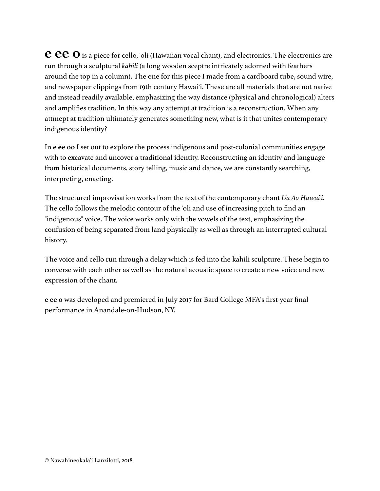**e e e o** is a piece for cello, 'oli (Hawaiian vocal chant), and electronics. The electronics are run through a sculptural *kahili* (a long wooden sceptre intricately adorned with feathers around the top in a column). The one for this piece I made from a cardboard tube, sound wire, and newspaper clippings from 19th century Hawaiʻi. These are all materials that are not native and instead readily available, emphasizing the way distance (physical and chronological) alters and amplifies tradition. In this way any attempt at tradition is a reconstruction. When any attmept at tradition ultimately generates something new, what is it that unites contemporary indigenous identity?

In **e ee oo** I set out to explore the process indigenous and post-colonial communities engage with to excavate and uncover a traditional identity. Reconstructing an identity and language from historical documents, story telling, music and dance, we are constantly searching, interpreting, enacting.

The structured improvisation works from the text of the contemporary chant *Ua Ao Hawaiʻi.*  The cello follows the melodic contour of the 'oli and use of increasing pitch to find an "indigenous" voice. The voice works only with the vowels of the text, emphasizing the confusion of being separated from land physically as well as through an interrupted cultural history.

The voice and cello run through a delay which is fed into the kahili sculpture. These begin to converse with each other as well as the natural acoustic space to create a new voice and new expression of the chant.

**e ee o** was developed and premiered in July 2017 for Bard College MFA's first-year final performance in Anandale-on-Hudson, NY.